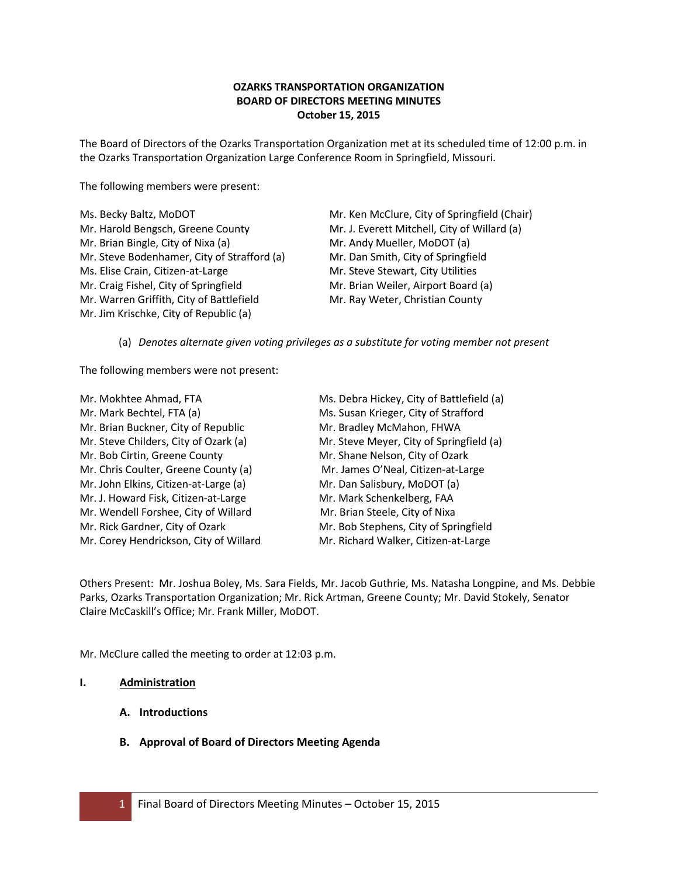# **OZARKS TRANSPORTATION ORGANIZATION BOARD OF DIRECTORS MEETING MINUTES October 15, 2015**

The Board of Directors of the Ozarks Transportation Organization met at its scheduled time of 12:00 p.m. in the Ozarks Transportation Organization Large Conference Room in Springfield, Missouri.

The following members were present:

| Ms. Becky Baltz, MoDOT                      | Mr. Ken McClure, City of Springfield (Chair) |
|---------------------------------------------|----------------------------------------------|
| Mr. Harold Bengsch, Greene County           | Mr. J. Everett Mitchell, City of Willard (a) |
| Mr. Brian Bingle, City of Nixa (a)          | Mr. Andy Mueller, MoDOT (a)                  |
| Mr. Steve Bodenhamer, City of Strafford (a) | Mr. Dan Smith, City of Springfield           |
| Ms. Elise Crain, Citizen-at-Large           | Mr. Steve Stewart, City Utilities            |
| Mr. Craig Fishel, City of Springfield       | Mr. Brian Weiler, Airport Board (a)          |
| Mr. Warren Griffith, City of Battlefield    | Mr. Ray Weter, Christian County              |
| Mr. Jim Krischke, City of Republic (a)      |                                              |

(a) *Denotes alternate given voting privileges as a substitute for voting member not present*

The following members were not present:

| Mr. Mokhtee Ahmad, FTA                 | Ms. Debra Hickey, City of Battlefield (a) |
|----------------------------------------|-------------------------------------------|
| Mr. Mark Bechtel, FTA (a)              | Ms. Susan Krieger, City of Strafford      |
| Mr. Brian Buckner, City of Republic    | Mr. Bradley McMahon, FHWA                 |
| Mr. Steve Childers, City of Ozark (a)  | Mr. Steve Meyer, City of Springfield (a)  |
| Mr. Bob Cirtin, Greene County          | Mr. Shane Nelson, City of Ozark           |
| Mr. Chris Coulter, Greene County (a)   | Mr. James O'Neal, Citizen-at-Large        |
| Mr. John Elkins, Citizen-at-Large (a)  | Mr. Dan Salisbury, MoDOT (a)              |
| Mr. J. Howard Fisk, Citizen-at-Large   | Mr. Mark Schenkelberg, FAA                |
| Mr. Wendell Forshee, City of Willard   | Mr. Brian Steele, City of Nixa            |
| Mr. Rick Gardner, City of Ozark        | Mr. Bob Stephens, City of Springfield     |
| Mr. Corey Hendrickson, City of Willard | Mr. Richard Walker, Citizen-at-Large      |

Others Present: Mr. Joshua Boley, Ms. Sara Fields, Mr. Jacob Guthrie, Ms. Natasha Longpine, and Ms. Debbie Parks, Ozarks Transportation Organization; Mr. Rick Artman, Greene County; Mr. David Stokely, Senator Claire McCaskill's Office; Mr. Frank Miller, MoDOT.

Mr. McClure called the meeting to order at 12:03 p.m.

### **I. Administration**

- **A. Introductions**
- **B. Approval of Board of Directors Meeting Agenda**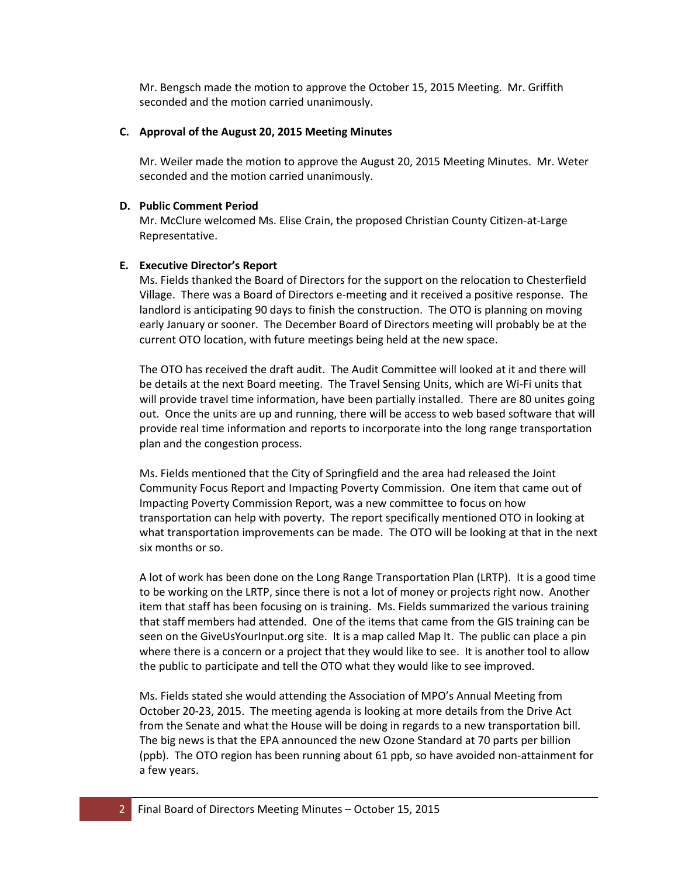Mr. Bengsch made the motion to approve the October 15, 2015 Meeting. Mr. Griffith seconded and the motion carried unanimously.

### **C. Approval of the August 20, 2015 Meeting Minutes**

Mr. Weiler made the motion to approve the August 20, 2015 Meeting Minutes. Mr. Weter seconded and the motion carried unanimously.

### **D. Public Comment Period**

Mr. McClure welcomed Ms. Elise Crain, the proposed Christian County Citizen-at-Large Representative.

## **E. Executive Director's Report**

Ms. Fields thanked the Board of Directors for the support on the relocation to Chesterfield Village. There was a Board of Directors e-meeting and it received a positive response. The landlord is anticipating 90 days to finish the construction. The OTO is planning on moving early January or sooner. The December Board of Directors meeting will probably be at the current OTO location, with future meetings being held at the new space.

The OTO has received the draft audit. The Audit Committee will looked at it and there will be details at the next Board meeting. The Travel Sensing Units, which are Wi-Fi units that will provide travel time information, have been partially installed. There are 80 unites going out. Once the units are up and running, there will be access to web based software that will provide real time information and reports to incorporate into the long range transportation plan and the congestion process.

Ms. Fields mentioned that the City of Springfield and the area had released the Joint Community Focus Report and Impacting Poverty Commission. One item that came out of Impacting Poverty Commission Report, was a new committee to focus on how transportation can help with poverty. The report specifically mentioned OTO in looking at what transportation improvements can be made. The OTO will be looking at that in the next six months or so.

A lot of work has been done on the Long Range Transportation Plan (LRTP). It is a good time to be working on the LRTP, since there is not a lot of money or projects right now. Another item that staff has been focusing on is training. Ms. Fields summarized the various training that staff members had attended. One of the items that came from the GIS training can be seen on the GiveUsYourInput.org site. It is a map called Map It. The public can place a pin where there is a concern or a project that they would like to see. It is another tool to allow the public to participate and tell the OTO what they would like to see improved.

Ms. Fields stated she would attending the Association of MPO's Annual Meeting from October 20-23, 2015. The meeting agenda is looking at more details from the Drive Act from the Senate and what the House will be doing in regards to a new transportation bill. The big news is that the EPA announced the new Ozone Standard at 70 parts per billion (ppb). The OTO region has been running about 61 ppb, so have avoided non-attainment for a few years.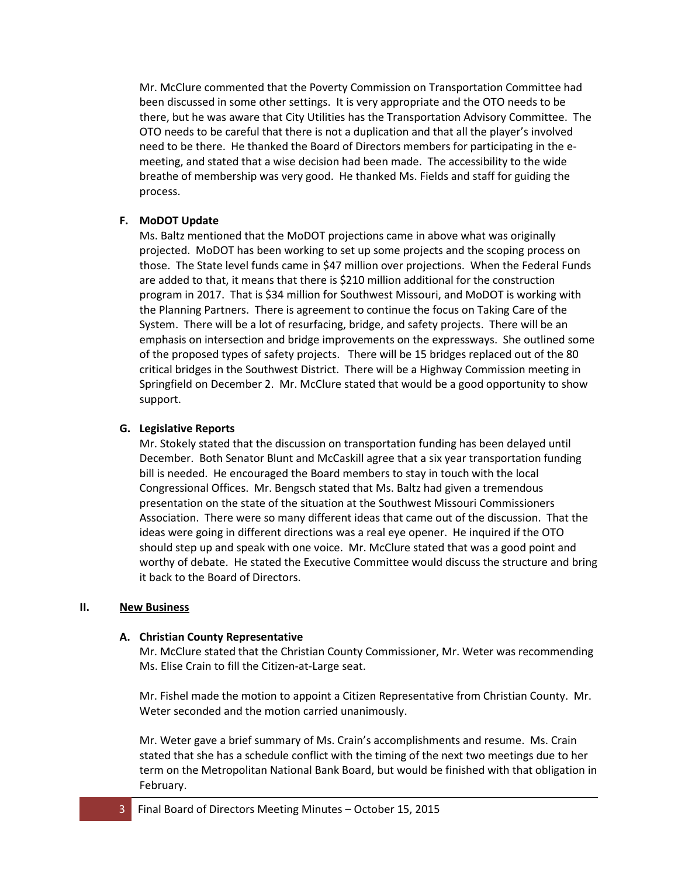Mr. McClure commented that the Poverty Commission on Transportation Committee had been discussed in some other settings. It is very appropriate and the OTO needs to be there, but he was aware that City Utilities has the Transportation Advisory Committee. The OTO needs to be careful that there is not a duplication and that all the player's involved need to be there. He thanked the Board of Directors members for participating in the emeeting, and stated that a wise decision had been made. The accessibility to the wide breathe of membership was very good. He thanked Ms. Fields and staff for guiding the process.

## **F. MoDOT Update**

Ms. Baltz mentioned that the MoDOT projections came in above what was originally projected. MoDOT has been working to set up some projects and the scoping process on those. The State level funds came in \$47 million over projections. When the Federal Funds are added to that, it means that there is \$210 million additional for the construction program in 2017. That is \$34 million for Southwest Missouri, and MoDOT is working with the Planning Partners. There is agreement to continue the focus on Taking Care of the System. There will be a lot of resurfacing, bridge, and safety projects. There will be an emphasis on intersection and bridge improvements on the expressways. She outlined some of the proposed types of safety projects. There will be 15 bridges replaced out of the 80 critical bridges in the Southwest District. There will be a Highway Commission meeting in Springfield on December 2. Mr. McClure stated that would be a good opportunity to show support.

# **G. Legislative Reports**

Mr. Stokely stated that the discussion on transportation funding has been delayed until December. Both Senator Blunt and McCaskill agree that a six year transportation funding bill is needed. He encouraged the Board members to stay in touch with the local Congressional Offices. Mr. Bengsch stated that Ms. Baltz had given a tremendous presentation on the state of the situation at the Southwest Missouri Commissioners Association. There were so many different ideas that came out of the discussion. That the ideas were going in different directions was a real eye opener. He inquired if the OTO should step up and speak with one voice. Mr. McClure stated that was a good point and worthy of debate. He stated the Executive Committee would discuss the structure and bring it back to the Board of Directors.

## **II. New Business**

## **A. Christian County Representative**

Mr. McClure stated that the Christian County Commissioner, Mr. Weter was recommending Ms. Elise Crain to fill the Citizen-at-Large seat.

Mr. Fishel made the motion to appoint a Citizen Representative from Christian County. Mr. Weter seconded and the motion carried unanimously.

Mr. Weter gave a brief summary of Ms. Crain's accomplishments and resume. Ms. Crain stated that she has a schedule conflict with the timing of the next two meetings due to her term on the Metropolitan National Bank Board, but would be finished with that obligation in February.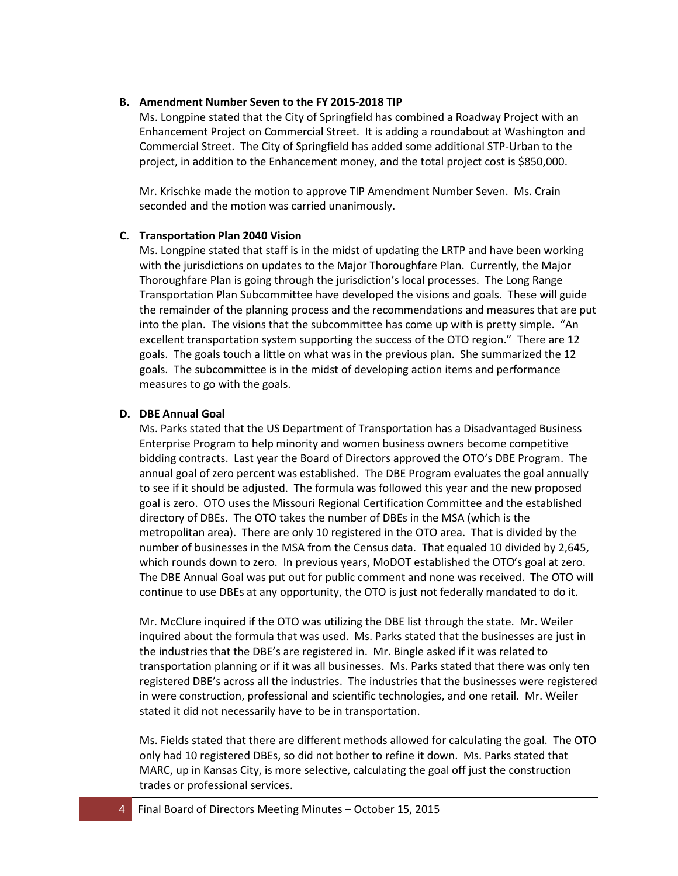### **B. Amendment Number Seven to the FY 2015-2018 TIP**

Ms. Longpine stated that the City of Springfield has combined a Roadway Project with an Enhancement Project on Commercial Street. It is adding a roundabout at Washington and Commercial Street. The City of Springfield has added some additional STP-Urban to the project, in addition to the Enhancement money, and the total project cost is \$850,000.

Mr. Krischke made the motion to approve TIP Amendment Number Seven. Ms. Crain seconded and the motion was carried unanimously.

#### **C. Transportation Plan 2040 Vision**

Ms. Longpine stated that staff is in the midst of updating the LRTP and have been working with the jurisdictions on updates to the Major Thoroughfare Plan. Currently, the Major Thoroughfare Plan is going through the jurisdiction's local processes. The Long Range Transportation Plan Subcommittee have developed the visions and goals. These will guide the remainder of the planning process and the recommendations and measures that are put into the plan. The visions that the subcommittee has come up with is pretty simple. "An excellent transportation system supporting the success of the OTO region." There are 12 goals. The goals touch a little on what was in the previous plan. She summarized the 12 goals. The subcommittee is in the midst of developing action items and performance measures to go with the goals.

#### **D. DBE Annual Goal**

Ms. Parks stated that the US Department of Transportation has a Disadvantaged Business Enterprise Program to help minority and women business owners become competitive bidding contracts. Last year the Board of Directors approved the OTO's DBE Program. The annual goal of zero percent was established. The DBE Program evaluates the goal annually to see if it should be adjusted. The formula was followed this year and the new proposed goal is zero. OTO uses the Missouri Regional Certification Committee and the established directory of DBEs. The OTO takes the number of DBEs in the MSA (which is the metropolitan area). There are only 10 registered in the OTO area. That is divided by the number of businesses in the MSA from the Census data. That equaled 10 divided by 2,645, which rounds down to zero. In previous years, MoDOT established the OTO's goal at zero. The DBE Annual Goal was put out for public comment and none was received. The OTO will continue to use DBEs at any opportunity, the OTO is just not federally mandated to do it.

Mr. McClure inquired if the OTO was utilizing the DBE list through the state. Mr. Weiler inquired about the formula that was used. Ms. Parks stated that the businesses are just in the industries that the DBE's are registered in. Mr. Bingle asked if it was related to transportation planning or if it was all businesses. Ms. Parks stated that there was only ten registered DBE's across all the industries. The industries that the businesses were registered in were construction, professional and scientific technologies, and one retail. Mr. Weiler stated it did not necessarily have to be in transportation.

Ms. Fields stated that there are different methods allowed for calculating the goal. The OTO only had 10 registered DBEs, so did not bother to refine it down. Ms. Parks stated that MARC, up in Kansas City, is more selective, calculating the goal off just the construction trades or professional services.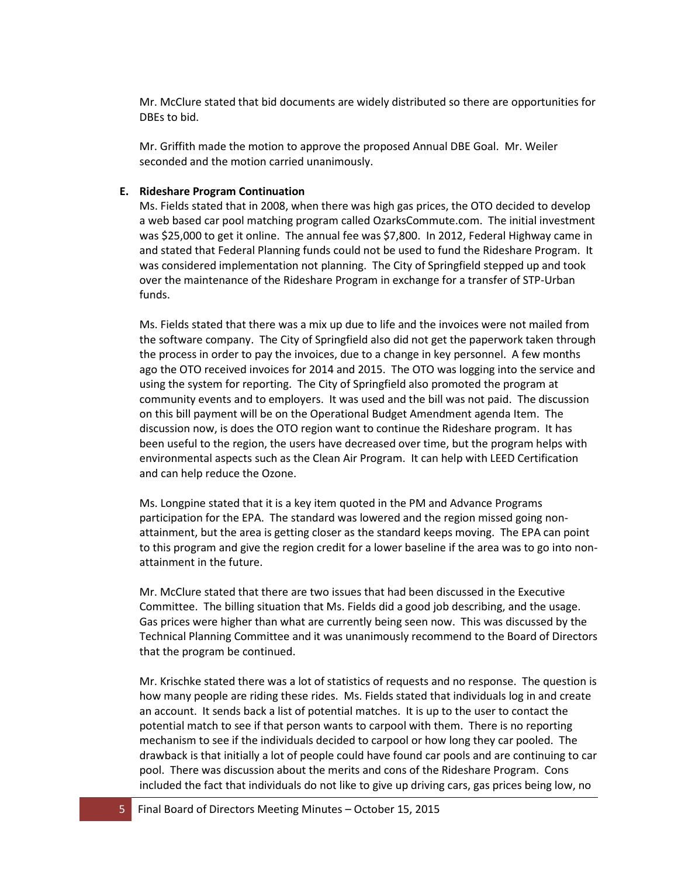Mr. McClure stated that bid documents are widely distributed so there are opportunities for DBEs to bid.

Mr. Griffith made the motion to approve the proposed Annual DBE Goal. Mr. Weiler seconded and the motion carried unanimously.

### **E. Rideshare Program Continuation**

Ms. Fields stated that in 2008, when there was high gas prices, the OTO decided to develop a web based car pool matching program called OzarksCommute.com. The initial investment was \$25,000 to get it online. The annual fee was \$7,800. In 2012, Federal Highway came in and stated that Federal Planning funds could not be used to fund the Rideshare Program. It was considered implementation not planning. The City of Springfield stepped up and took over the maintenance of the Rideshare Program in exchange for a transfer of STP-Urban funds.

Ms. Fields stated that there was a mix up due to life and the invoices were not mailed from the software company. The City of Springfield also did not get the paperwork taken through the process in order to pay the invoices, due to a change in key personnel. A few months ago the OTO received invoices for 2014 and 2015. The OTO was logging into the service and using the system for reporting. The City of Springfield also promoted the program at community events and to employers. It was used and the bill was not paid. The discussion on this bill payment will be on the Operational Budget Amendment agenda Item. The discussion now, is does the OTO region want to continue the Rideshare program. It has been useful to the region, the users have decreased over time, but the program helps with environmental aspects such as the Clean Air Program. It can help with LEED Certification and can help reduce the Ozone.

Ms. Longpine stated that it is a key item quoted in the PM and Advance Programs participation for the EPA. The standard was lowered and the region missed going nonattainment, but the area is getting closer as the standard keeps moving. The EPA can point to this program and give the region credit for a lower baseline if the area was to go into nonattainment in the future.

Mr. McClure stated that there are two issues that had been discussed in the Executive Committee. The billing situation that Ms. Fields did a good job describing, and the usage. Gas prices were higher than what are currently being seen now. This was discussed by the Technical Planning Committee and it was unanimously recommend to the Board of Directors that the program be continued.

Mr. Krischke stated there was a lot of statistics of requests and no response. The question is how many people are riding these rides. Ms. Fields stated that individuals log in and create an account. It sends back a list of potential matches. It is up to the user to contact the potential match to see if that person wants to carpool with them. There is no reporting mechanism to see if the individuals decided to carpool or how long they car pooled. The drawback is that initially a lot of people could have found car pools and are continuing to car pool. There was discussion about the merits and cons of the Rideshare Program. Cons included the fact that individuals do not like to give up driving cars, gas prices being low, no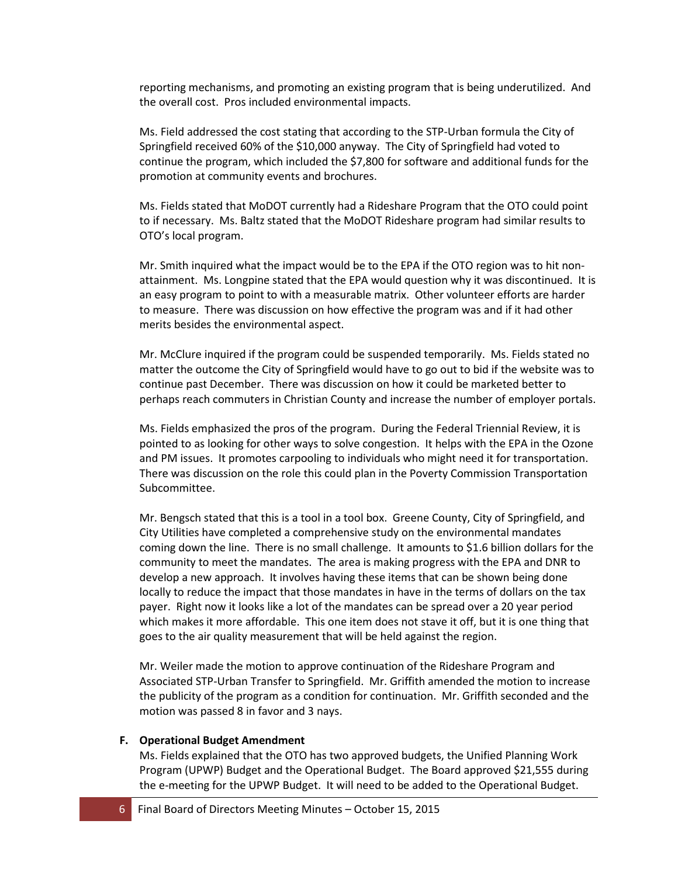reporting mechanisms, and promoting an existing program that is being underutilized. And the overall cost. Pros included environmental impacts.

Ms. Field addressed the cost stating that according to the STP-Urban formula the City of Springfield received 60% of the \$10,000 anyway. The City of Springfield had voted to continue the program, which included the \$7,800 for software and additional funds for the promotion at community events and brochures.

Ms. Fields stated that MoDOT currently had a Rideshare Program that the OTO could point to if necessary. Ms. Baltz stated that the MoDOT Rideshare program had similar results to OTO's local program.

Mr. Smith inquired what the impact would be to the EPA if the OTO region was to hit nonattainment. Ms. Longpine stated that the EPA would question why it was discontinued. It is an easy program to point to with a measurable matrix. Other volunteer efforts are harder to measure. There was discussion on how effective the program was and if it had other merits besides the environmental aspect.

Mr. McClure inquired if the program could be suspended temporarily. Ms. Fields stated no matter the outcome the City of Springfield would have to go out to bid if the website was to continue past December. There was discussion on how it could be marketed better to perhaps reach commuters in Christian County and increase the number of employer portals.

Ms. Fields emphasized the pros of the program. During the Federal Triennial Review, it is pointed to as looking for other ways to solve congestion. It helps with the EPA in the Ozone and PM issues. It promotes carpooling to individuals who might need it for transportation. There was discussion on the role this could plan in the Poverty Commission Transportation Subcommittee.

Mr. Bengsch stated that this is a tool in a tool box. Greene County, City of Springfield, and City Utilities have completed a comprehensive study on the environmental mandates coming down the line. There is no small challenge. It amounts to \$1.6 billion dollars for the community to meet the mandates. The area is making progress with the EPA and DNR to develop a new approach. It involves having these items that can be shown being done locally to reduce the impact that those mandates in have in the terms of dollars on the tax payer. Right now it looks like a lot of the mandates can be spread over a 20 year period which makes it more affordable. This one item does not stave it off, but it is one thing that goes to the air quality measurement that will be held against the region.

Mr. Weiler made the motion to approve continuation of the Rideshare Program and Associated STP-Urban Transfer to Springfield. Mr. Griffith amended the motion to increase the publicity of the program as a condition for continuation. Mr. Griffith seconded and the motion was passed 8 in favor and 3 nays.

#### **F. Operational Budget Amendment**

Ms. Fields explained that the OTO has two approved budgets, the Unified Planning Work Program (UPWP) Budget and the Operational Budget. The Board approved \$21,555 during the e-meeting for the UPWP Budget. It will need to be added to the Operational Budget.